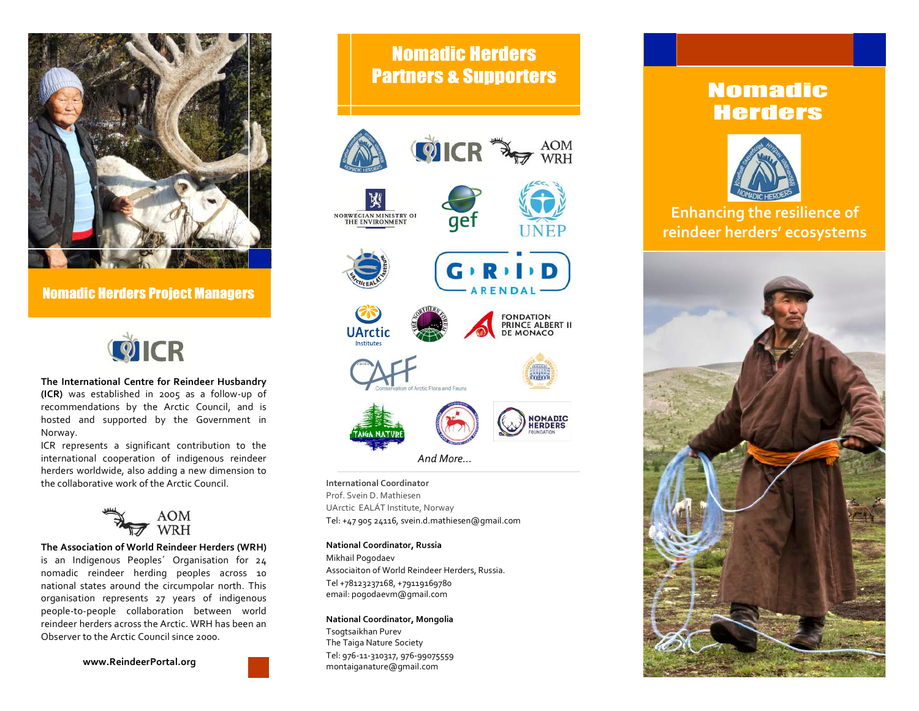

**Nomadic Herders Project Managers** 



The International Centre for Reindeer Husbandry **(ICR)** was established in 2005 as a follow-up of recommendations by the Arctic Council, and is  $\qquad \qquad \qquad$ hosted and supported by the Government in  $\left( \begin{array}{ccc} 1 & 1 \end{array} \right)$ Norway. 

ICR represents a significant contribution to the **life based on practices and way of life based on practices** and the **life based on practices and knowledge developed through long-terms** international cooperation of indigenous reindeer herders worldwide, also adding a new dimension to entitled to the navigate through future shocks and disturbance the collaborative work of the Arctic Council.



**The Association of World Reindeer Herders (WRH)** is an Indigenous Peoples' Organisation for 24  $\,$  Mikhail<code>Pogodaev</code> nomadic reindeer herding peoples across 10 national states around the circumpolar north. This organisation represents 27 years of indigenous people-to-people collaboration between world<br>people-to-people collaboration between world reindeer herders across the Arctic. WRH has been an Observer to the Arctic Council since 2000.

**www.ReindeerPortal.org**

# **Nomadic Herders Partners & Supporters**



#### **This will explore potential ways to full and effective participation of indigenous participation of indigenous participation of indigenous condigenous condigenous participation of indigenous condigenous condigenous condig**

reindeer herder towards ecologically, socially and economically sustainable societies. **Governance of Arctic resources have to reconnect to our planet, and to the original**  Prof. Svein D. Mathiesen UArctic EALÁT Institute, Norway Tel: +47 905 24116, svein.d.mathiesen@gmail.com

#### rders (WRH) **Mational Coordinator, Russia**

Aaca University The Culture of the Culture of the indigenous people<br>tion for 24 Mikhail Pogodaev across 10 Massociaiton of World Reindeer Herders, Russia.  $\frac{1}{10}$  relation. Tel +78123237168, +79119169780  $i$  indigenous email: pogodaevm@gmail.com

### veen world<br>I has been an

**indigenous student to this event at Hertzen University September 11th.** Tsogtsaikhan Purev *Draft program for the workshop September 11th 2016 :* Tel: 976-11-310317, 976-99075559 **Chair: Anna Degteva and Svetlana Avelova** The Taiga Nature Society montaiganature@gmail.com

## **Nomadic Herders**



## **Enhancing the resilience of reindeer herders' ecosystems**